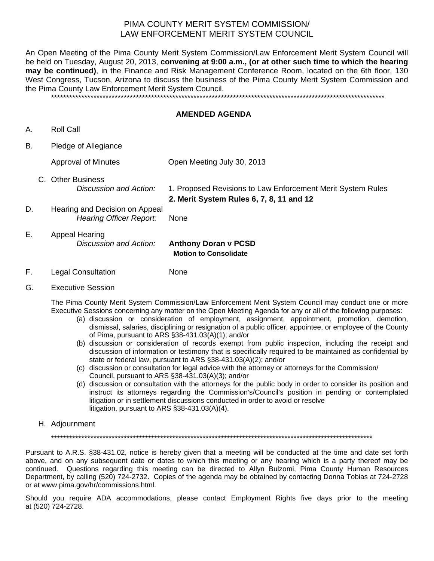## PIMA COUNTY MERIT SYSTEM COMMISSION/ LAW ENFORCEMENT MERIT SYSTEM COUNCIL

An Open Meeting of the Pima County Merit System Commission/Law Enforcement Merit System Council will be held on Tuesday, August 20, 2013, **convening at 9:00 a.m., (or at other such time to which the hearing may be continued)**, in the Finance and Risk Management Conference Room, located on the 6th floor, 130 West Congress, Tucson, Arizona to discuss the business of the Pima County Merit System Commission and the Pima County Law Enforcement Merit System Council.

\*\*\*\*\*\*\*\*\*\*\*\*\*\*\*\*\*\*\*\*\*\*\*\*\*\*\*\*\*\*\*\*\*\*\*\*\*\*\*\*\*\*\*\*\*\*\*\*\*\*\*\*\*\*\*\*\*\*\*\*\*\*\*\*\*\*\*\*\*\*\*\*\*\*\*\*\*\*\*\*\*\*\*\*\*\*\*\*\*\*\*\*\*\*\*\*\*\*\*\*\*\*\*\*\*\*\*\*\*\*

## **AMENDED AGENDA**

- A. Roll Call
- B. Pledge of Allegiance

Approval of Minutes Open Meeting July 30, 2013 C. Other Business  *Discussion and Action:* 1. Proposed Revisions to Law Enforcement Merit System Rules **2. Merit System Rules 6, 7, 8, 11 and 12**  D. Hearing and Decision on Appeal *Hearing Officer Report: None* 

- E. Appeal Hearing  *Discussion and Action:* **Anthony Doran v PCSD Motion to Consolidate**
- F. Legal Consultation None
- G. Executive Session

The Pima County Merit System Commission/Law Enforcement Merit System Council may conduct one or more Executive Sessions concerning any matter on the Open Meeting Agenda for any or all of the following purposes:

- (a) discussion or consideration of employment, assignment, appointment, promotion, demotion, dismissal, salaries, disciplining or resignation of a public officer, appointee, or employee of the County of Pima, pursuant to ARS §38-431.03(A)(1); and/or
- (b) discussion or consideration of records exempt from public inspection, including the receipt and discussion of information or testimony that is specifically required to be maintained as confidential by state or federal law, pursuant to ARS §38-431.03(A)(2); and/or
- (c) discussion or consultation for legal advice with the attorney or attorneys for the Commission/ Council, pursuant to ARS §38-431.03(A)(3); and/or
- (d) discussion or consultation with the attorneys for the public body in order to consider its position and instruct its attorneys regarding the Commission's/Council's position in pending or contemplated litigation or in settlement discussions conducted in order to avoid or resolve litigation, pursuant to ARS §38-431.03(A)(4).
- H. Adjournment

\*\*\*\*\*\*\*\*\*\*\*\*\*\*\*\*\*\*\*\*\*\*\*\*\*\*\*\*\*\*\*\*\*\*\*\*\*\*\*\*\*\*\*\*\*\*\*\*\*\*\*\*\*\*\*\*\*\*\*\*\*\*\*\*\*\*\*\*\*\*\*\*\*\*\*\*\*\*\*\*\*\*\*\*\*\*\*\*\*\*\*\*\*\*\*\*\*\*\*\*\*\*\*\*\*\*

Pursuant to A.R.S. §38-431.02, notice is hereby given that a meeting will be conducted at the time and date set forth above, and on any subsequent date or dates to which this meeting or any hearing which is a party thereof may be continued. Questions regarding this meeting can be directed to Allyn Bulzomi, Pima County Human Resources Department, by calling (520) 724-2732. Copies of the agenda may be obtained by contacting Donna Tobias at 724-2728 or at www.pima.gov/hr/commissions.html.

Should you require ADA accommodations, please contact Employment Rights five days prior to the meeting at (520) 724-2728.